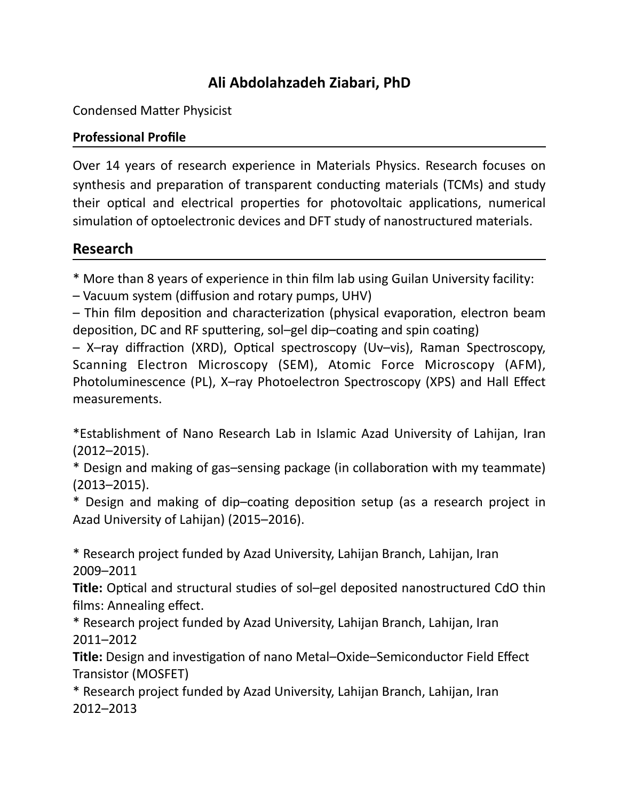# **Ali Abdolahzadeh Ziabari, PhD**

Condensed Matter Physicist

### **Professional Profile**

Over 14 years of research experience in Materials Physics. Research focuses on synthesis and preparation of transparent conducting materials (TCMs) and study their optical and electrical properties for photovoltaic applications, numerical simulation of optoelectronic devices and DFT study of nanostructured materials.

## **Research**

\* More than 8 years of experience in thin film lab using Guilan University facility:

– Vacuum system (diffusion and rotary pumps, UHV)

 $-$  Thin film deposition and characterization (physical evaporation, electron beam deposition, DC and RF sputtering, sol–gel dip–coating and spin coating)

 $-$  X–ray diffraction (XRD), Optical spectroscopy (Uv–vis), Raman Spectroscopy, Scanning Electron Microscopy (SEM), Atomic Force Microscopy (AFM), Photoluminescence (PL), X-ray Photoelectron Spectroscopy (XPS) and Hall Effect measurements. 

\*Establishment of Nano Research Lab in Islamic Azad University of Lahijan, Iran (2012–2015). 

\* Design and making of gas-sensing package (in collaboration with my teammate) (2013–2015). 

\* Design and making of dip-coating deposition setup (as a research project in Azad University of Lahijan) (2015–2016).

\* Research project funded by Azad University, Lahijan Branch, Lahijan, Iran 2009–2011 

**Title:** Optical and structural studies of sol–gel deposited nanostructured CdO thin films: Annealing effect.

\* Research project funded by Azad University, Lahijan Branch, Lahijan, Iran 2011–2012 

**Title:** Design and investigation of nano Metal-Oxide-Semiconductor Field Effect Transistor (MOSFET)

\* Research project funded by Azad University, Lahijan Branch, Lahijan, Iran 2012–2013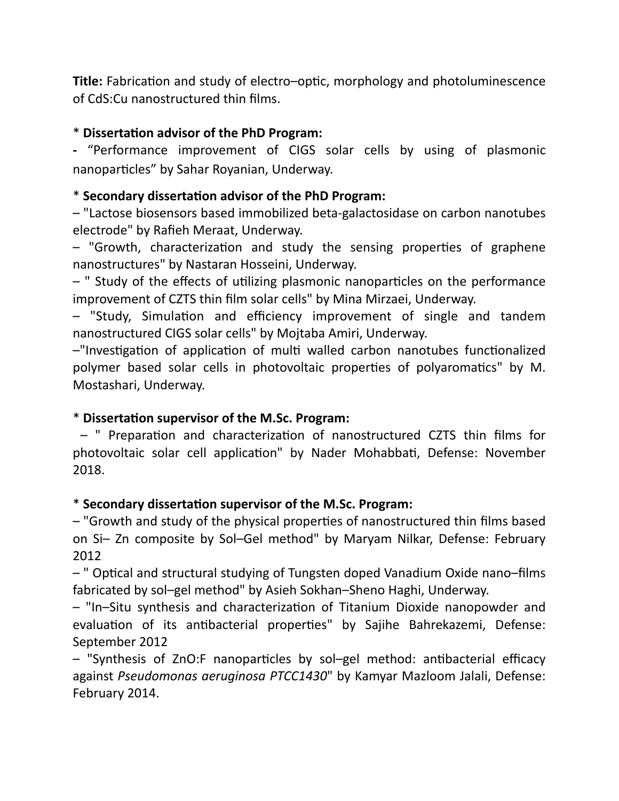**Title:** Fabrication and study of electro–optic, morphology and photoluminescence of CdS:Cu nanostructured thin films.

#### \* Dissertation advisor of the PhD Program:

**-** "Performance improvement of CIGS solar cells by using of plasmonic nanoparticles" by Sahar Royanian, Underway.

### \* Secondary dissertation advisor of the PhD Program:

 $-$  "Lactose biosensors based immobilized beta-galactosidase on carbon nanotubes electrode" by Rafieh Meraat, Underway.

 $-$  "Growth, characterization and study the sensing properties of graphene nanostructures" by Nastaran Hosseini, Underway.

 $-$  " Study of the effects of utilizing plasmonic nanoparticles on the performance improvement of CZTS thin film solar cells" by Mina Mirzaei, Underway.

- "Study, Simulation and efficiency improvement of single and tandem nanostructured CIGS solar cells" by Mojtaba Amiri, Underway.

 $-$ "Investigation of application of multi walled carbon nanotubes functionalized polymer based solar cells in photovoltaic properties of polyaromatics" by M. Mostashari, Underway.

#### \* Dissertation supervisor of the M.Sc. Program:

– " Preparation and characterization of nanostructured CZTS thin films for photovoltaic solar cell application" by Nader Mohabbati, Defense: November 2018. 

#### \* Secondary dissertation supervisor of the M.Sc. Program:

– "Growth and study of the physical properties of nanostructured thin films based on Si- Zn composite by Sol-Gel method" by Maryam Nilkar, Defense: February 2012 

- " Optical and structural studying of Tungsten doped Vanadium Oxide nano-films fabricated by sol-gel method" by Asieh Sokhan-Sheno Haghi, Underway.

 $-$  "In–Situ synthesis and characterization of Titanium Dioxide nanopowder and evaluation of its antibacterial properties" by Sajihe Bahrekazemi, Defense: September 2012

- "Synthesis of ZnO:F nanoparticles by sol-gel method: antibacterial efficacy against *Pseudomonas aeruginosa PTCC1430*" by Kamyar Mazloom Jalali, Defense: February 2014.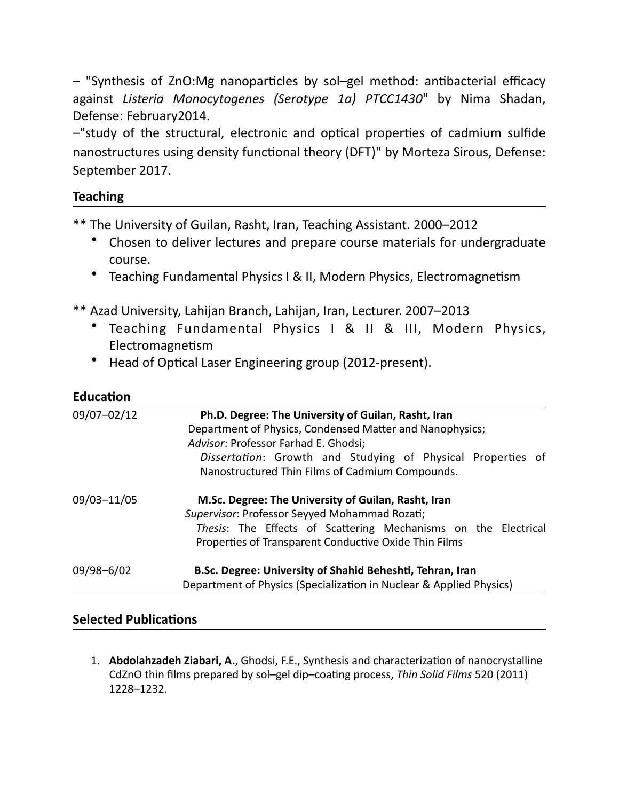$-$  "Synthesis of ZnO:Mg nanoparticles by sol–gel method: antibacterial efficacy against Listeria Monocytogenes (Serotype 1a) PTCC1430" by Nima Shadan, Defense: February2014.

 $-$ "study of the structural, electronic and optical properties of cadmium sulfide nanostructures using density functional theory (DFT)" by Morteza Sirous, Defense: September 2017.

#### **Teaching**

\*\* The University of Guilan, Rasht, Iran, Teaching Assistant. 2000–2012

- Chosen to deliver lectures and prepare course materials for undergraduate course.
- Teaching Fundamental Physics I & II, Modern Physics, Electromagnetism
- \*\* Azad University, Lahijan Branch, Lahijan, Iran, Lecturer. 2007–2013
	- Teaching Fundamental Physics I & II & III, Modern Physics, Electromagnetism
	- Head of Optical Laser Engineering group (2012-present).

#### **Education**

| 09/07-02/12 | Ph.D. Degree: The University of Guilan, Rasht, Iran                 |
|-------------|---------------------------------------------------------------------|
|             | Department of Physics, Condensed Matter and Nanophysics;            |
|             | Advisor: Professor Farhad E. Ghodsi;                                |
|             | Dissertation: Growth and Studying of Physical Properties of         |
|             | Nanostructured Thin Films of Cadmium Compounds.                     |
| 09/03-11/05 | M.Sc. Degree: The University of Guilan, Rasht, Iran                 |
|             | Supervisor: Professor Seyyed Mohammad Rozati;                       |
|             | Thesis: The Effects of Scattering Mechanisms on the Electrical      |
|             | Properties of Transparent Conductive Oxide Thin Films               |
| 09/98-6/02  | B.Sc. Degree: University of Shahid Beheshti, Tehran, Iran           |
|             | Department of Physics (Specialization in Nuclear & Applied Physics) |

#### **Selected Publications**

1. Abdolahzadeh Ziabari, A., Ghodsi, F.E., Synthesis and characterization of nanocrystalline CdZnO thin films prepared by sol-gel dip-coating process, Thin Solid Films 520 (2011) 1228–1232.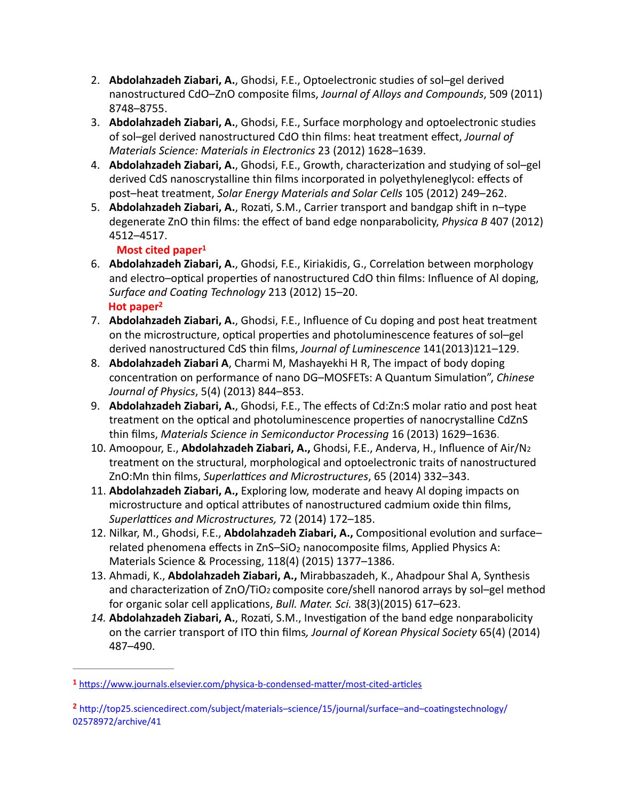- 2. **Abdolahzadeh Ziabari, A.**, Ghodsi, F.E., Optoelectronic studies of sol-gel derived nanostructured CdO-ZnO composite films, *Journal of Alloys and Compounds*, 509 (2011) 8748–8755.
- 3. **Abdolahzadeh Ziabari, A.**, Ghodsi, F.E., Surface morphology and optoelectronic studies of sol-gel derived nanostructured CdO thin films: heat treatment effect, *Journal of Materials Science: Materials in Electronics* 23 (2012) 1628–1639.
- 4. **Abdolahzadeh Ziabari, A.**, Ghodsi, F.E., Growth, characterization and studying of sol-gel derived CdS nanoscrystalline thin films incorporated in polyethyleneglycol: effects of post-heat treatment, *Solar Energy Materials and Solar Cells* 105 (2012) 249-262.
- 5. **Abdolahzadeh Ziabari, A.**, Rozati, S.M., Carrier transport and bandgap shift in n-type degenerate ZnO thin films: the effect of band edge nonparabolicity, *Physica B* 407 (2012) 4512–4517.

#### <span id="page-3-2"></span>**Most cited paper<sup>1</sup>**

- 6. **Abdolahzadeh Ziabari, A.**, Ghodsi, F.E., Kiriakidis, G., Correlation between morphology and electro-optical properties of nanostructured CdO thin films: Influence of Al doping, Surface and Coating Technology 213 (2012) 15-20. Hot paper<sup>2</sup>
- <span id="page-3-3"></span>7. **Abdolahzadeh Ziabari, A.**, Ghodsi, F.E., Influence of Cu doping and post heat treatment on the microstructure, optical properties and photoluminescence features of sol-gel derived nanostructured CdS thin films, *Journal of Luminescence* 141(2013)121-129.
- 8. **Abdolahzadeh Ziabari A**, Charmi M, Mashayekhi H R, The impact of body doping concentration on performance of nano DG-MOSFETs: A Quantum Simulation", *Chinese Journal of Physics*, 5(4) (2013) 844–853.
- 9. Abdolahzadeh Ziabari, A., Ghodsi, F.E., The effects of Cd:Zn:S molar ratio and post heat treatment on the optical and photoluminescence properties of nanocrystalline CdZnS thin films, *Materials Science in Semiconductor Processing* 16 (2013) 1629-1636.
- 10. Amoopour, E., Abdolahzadeh Ziabari, A., Ghodsi, F.E., Anderva, H., Influence of Air/N2 treatment on the structural, morphological and optoelectronic traits of nanostructured ZnO:Mn thin films, Superlattices and Microstructures, 65 (2014) 332-343.
- 11. **Abdolahzadeh Ziabari, A.,** Exploring low, moderate and heavy Al doping impacts on microstructure and optical attributes of nanostructured cadmium oxide thin films, Superlattices and Microstructures, 72 (2014) 172-185.
- 12. Nilkar, M., Ghodsi, F.E., Abdolahzadeh Ziabari, A., Compositional evolution and surfacerelated phenomena effects in  $ZnS-SiO<sub>2</sub>$  nanocomposite films, Applied Physics A: Materials Science & Processing, 118(4) (2015) 1377-1386.
- 13. Ahmadi, K., Abdolahzadeh Ziabari, A., Mirabbaszadeh, K., Ahadpour Shal A, Synthesis and characterization of ZnO/TiO<sub>2</sub> composite core/shell nanorod arrays by sol–gel method for organic solar cell applications, *Bull. Mater. Sci.* 38(3)(2015) 617–623.
- 14. **Abdolahzadeh Ziabari, A.**, Rozati, S.M., Investigation of the band edge nonparabolicity on the carrier transport of ITO thin films, Journal of Korean Physical Society 65(4) (2014) 487–490.

<span id="page-3-0"></span>[<sup>1</sup>](#page-3-2) https://www.journals.elsevier.com/physica-b-condensed-matter/most-cited-articles

<span id="page-3-1"></span><sup>&</sup>lt;sup>[2](#page-3-3)</sup> http://top25.sciencedirect.com/subject/materials–science/15/journal/surface–and–coatingstechnology/ 02578972/archive/41